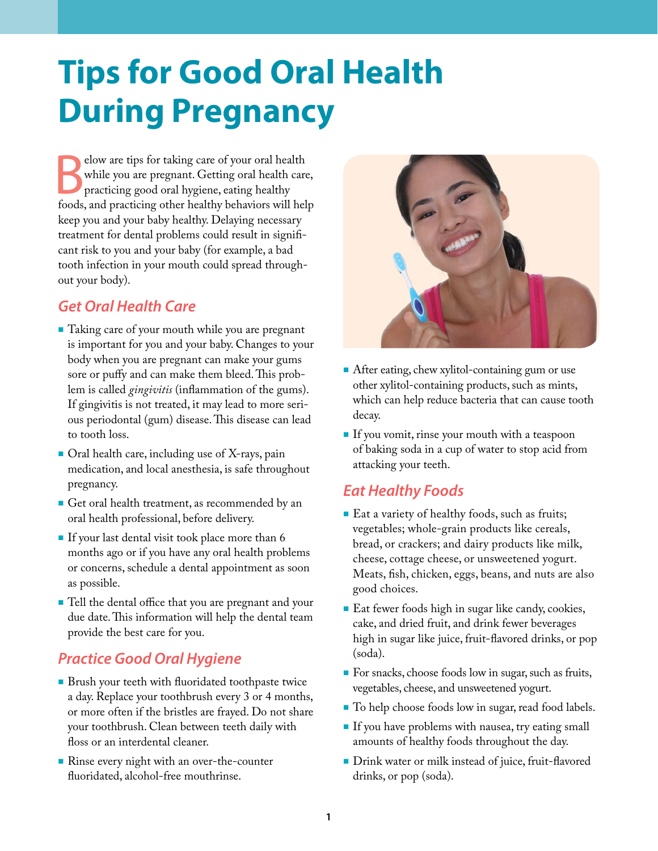# **Tips for Good Oral Health During Pregnancy**

Elow are tips for taking care of your oral health<br>
while you are pregnant. Getting oral health care,<br>
practicing good oral hygiene, eating healthy<br>
foods, and practicing other healthy behaviors will help elow are tips for taking care of your oral health while you are pregnant. Getting oral health care, practicing good oral hygiene, eating healthy keep you and your baby healthy. Delaying necessary treatment for dental problems could result in significant risk to you and your baby (for example, a bad tooth infection in your mouth could spread throughout your body).

# *Get Oral Health Care*

- Taking care of your mouth while you are pregnant is important for you and your baby. Changes to your body when you are pregnant can make your gums sore or puffy and can make them bleed. This problem is called *gingivitis* (inflammation of the gums). If gingivitis is not treated, it may lead to more serious periodontal (gum) disease. This disease can lead to tooth loss.
- Oral health care, including use of X-rays, pain medication, and local anesthesia, is safe throughout pregnancy.
- Get oral health treatment, as recommended by an oral health professional, before delivery.
- If your last dental visit took place more than 6 months ago or if you have any oral health problems or concerns, schedule a dental appointment as soon as possible.
- Tell the dental office that you are pregnant and your due date. This information will help the dental team provide the best care for you.

## *Practice Good Oral Hygiene*

- **Brush your teeth with fluoridated toothpaste twice** a day. Replace your toothbrush every 3 or 4 months, or more often if the bristles are frayed. Do not share your toothbrush. Clean between teeth daily with floss or an interdental cleaner.
- Rinse every night with an over-the-counter fluoridated, alcohol-free mouthrinse.



- After eating, chew xylitol-containing gum or use other xylitol-containing products, such as mints, which can help reduce bacteria that can cause tooth decay.
- If you vomit, rinse your mouth with a teaspoon of baking soda in a cup of water to stop acid from attacking your teeth.

# *Eat Healthy Foods*

- Eat a variety of healthy foods, such as fruits; vegetables; whole-grain products like cereals, bread, or crackers; and dairy products like milk, cheese, cottage cheese, or unsweetened yogurt. Meats, fish, chicken, eggs, beans, and nuts are also good choices.
- Eat fewer foods high in sugar like candy, cookies, cake, and dried fruit, and drink fewer beverages high in sugar like juice, fruit-flavored drinks, or pop (soda).
- For snacks, choose foods low in sugar, such as fruits, vegetables, cheese, and unsweetened yogurt.
- To help choose foods low in sugar, read food labels.
- If you have problems with nausea, try eating small amounts of healthy foods throughout the day.
- Drink water or milk instead of juice, fruit-flavored drinks, or pop (soda).